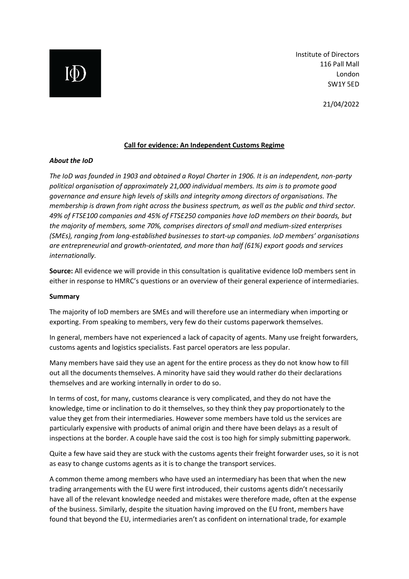Institute of Directors 116 Pall Mall London SW1Y 5ED

21/04/2022

### **Call for evidence: An Independent Customs Regime**

#### *About the IoD*

*The IoD was founded in 1903 and obtained a Royal Charter in 1906. It is an independent, non-party political organisation of approximately 21,000 individual members. Its aim is to promote good governance and ensure high levels of skills and integrity among directors of organisations. The membership is drawn from right across the business spectrum, as well as the public and third sector. 49% of FTSE100 companies and 45% of FTSE250 companies have IoD members on their boards, but the majority of members, some 70%, comprises directors of small and medium-sized enterprises (SMEs), ranging from long-established businesses to start-up companies. IoD members' organisations are entrepreneurial and growth-orientated, and more than half (61%) export goods and services internationally.*

**Source:** All evidence we will provide in this consultation is qualitative evidence IoD members sent in either in response to HMRC's questions or an overview of their general experience of intermediaries.

#### **Summary**

The majority of IoD members are SMEs and will therefore use an intermediary when importing or exporting. From speaking to members, very few do their customs paperwork themselves.

In general, members have not experienced a lack of capacity of agents. Many use freight forwarders, customs agents and logistics specialists. Fast parcel operators are less popular.

Many members have said they use an agent for the entire process as they do not know how to fill out all the documents themselves. A minority have said they would rather do their declarations themselves and are working internally in order to do so.

In terms of cost, for many, customs clearance is very complicated, and they do not have the knowledge, time or inclination to do it themselves, so they think they pay proportionately to the value they get from their intermediaries. However some members have told us the services are particularly expensive with products of animal origin and there have been delays as a result of inspections at the border. A couple have said the cost is too high for simply submitting paperwork.

Quite a few have said they are stuck with the customs agents their freight forwarder uses, so it is not as easy to change customs agents as it is to change the transport services.

A common theme among members who have used an intermediary has been that when the new trading arrangements with the EU were first introduced, their customs agents didn't necessarily have all of the relevant knowledge needed and mistakes were therefore made, often at the expense of the business. Similarly, despite the situation having improved on the EU front, members have found that beyond the EU, intermediaries aren't as confident on international trade, for example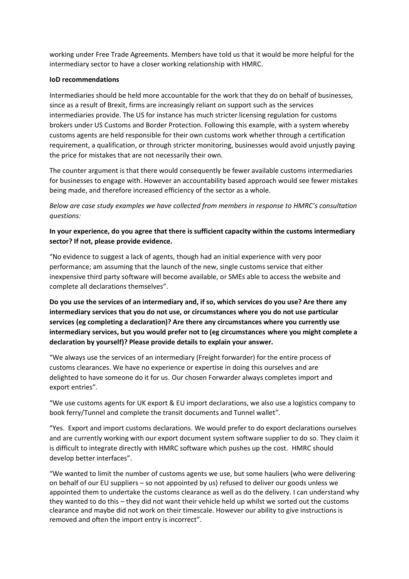working under Free Trade Agreements. Members have told us that it would be more helpful for the intermediary sector to have a closer working relationship with HMRC.

#### **IoD recommendations**

Intermediaries should be held more accountable for the work that they do on behalf of businesses, since as a result of Brexit, firms are increasingly reliant on support such as the services intermediaries provide. The US for instance has much stricter licensing regulation for customs brokers under US Customs and Border Protection. Following this example, with a system whereby customs agents are held responsible for their own customs work whether through a certification requirement, a qualification, or through stricter monitoring, businesses would avoid unjustly paying the price for mistakes that are not necessarily their own.

The counter argument is that there would consequently be fewer available customs intermediaries for businesses to engage with. However an accountability based approach would see fewer mistakes being made, and therefore increased efficiency of the sector as a whole.

*Below are case study examples we have collected from members in response to HMRC's consultation questions:*

# **In your experience, do you agree that there is sufficient capacity within the customs intermediary sector? If not, please provide evidence.**

"No evidence to suggest a lack of agents, though had an initial experience with very poor performance; am assuming that the launch of the new, single customs service that either inexpensive third party software will become available, or SMEs able to access the website and complete all declarations themselves".

**Do you use the services of an intermediary and, if so, which services do you use? Are there any intermediary services that you do not use, or circumstances where you do not use particular services (eg completing a declaration)? Are there any circumstances where you currently use intermediary services, but you would prefer not to (eg circumstances where you might complete a declaration by yourself)? Please provide details to explain your answer.**

"We always use the services of an intermediary (Freight forwarder) for the entire process of customs clearances. We have no experience or expertise in doing this ourselves and are delighted to have someone do it for us. Our chosen Forwarder always completes import and export entries".

"We use customs agents for UK export & EU import declarations, we also use a logistics company to book ferry/Tunnel and complete the transit documents and Tunnel wallet".

"Yes. Export and import customs declarations. We would prefer to do export declarations ourselves and are currently working with our export document system software supplier to do so. They claim it is difficult to integrate directly with HMRC software which pushes up the cost. HMRC should develop better interfaces".

"We wanted to limit the number of customs agents we use, but some hauliers (who were delivering on behalf of our EU suppliers – so not appointed by us) refused to deliver our goods unless we appointed them to undertake the customs clearance as well as do the delivery. I can understand why they wanted to do this – they did not want their vehicle held up whilst we sorted out the customs clearance and maybe did not work on their timescale. However our ability to give instructions is removed and often the import entry is incorrect".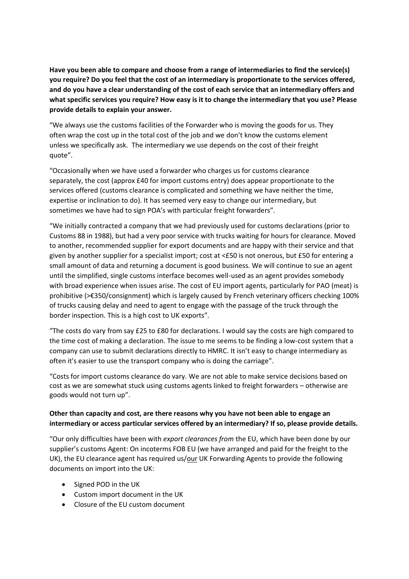**Have you been able to compare and choose from a range of intermediaries to find the service(s) you require? Do you feel that the cost of an intermediary is proportionate to the services offered, and do you have a clear understanding of the cost of each service that an intermediary offers and what specific services you require? How easy is it to change the intermediary that you use? Please provide details to explain your answer.**

"We always use the customs facilities of the Forwarder who is moving the goods for us. They often wrap the cost up in the total cost of the job and we don't know the customs element unless we specifically ask. The intermediary we use depends on the cost of their freight quote".

"Occasionally when we have used a forwarder who charges us for customs clearance separately, the cost (approx £40 for import customs entry) does appear proportionate to the services offered (customs clearance is complicated and something we have neither the time, expertise or inclination to do). It has seemed very easy to change our intermediary, but sometimes we have had to sign POA's with particular freight forwarders".

"We initially contracted a company that we had previously used for customs declarations (prior to Customs 88 in 1988), but had a very poor service with trucks waiting for hours for clearance. Moved to another, recommended supplier for export documents and are happy with their service and that given by another supplier for a specialist import; cost at <£50 is not onerous, but £50 for entering a small amount of data and returning a document is good business. We will continue to sue an agent until the simplified, single customs interface becomes well-used as an agent provides somebody with broad experience when issues arise. The cost of EU import agents, particularly for PAO (meat) is prohibitive (>€350/consignment) which is largely caused by French veterinary officers checking 100% of trucks causing delay and need to agent to engage with the passage of the truck through the border inspection. This is a high cost to UK exports".

"The costs do vary from say £25 to £80 for declarations. I would say the costs are high compared to the time cost of making a declaration. The issue to me seems to be finding a low-cost system that a company can use to submit declarations directly to HMRC. It isn't easy to change intermediary as often it's easier to use the transport company who is doing the carriage".

"Costs for import customs clearance do vary. We are not able to make service decisions based on cost as we are somewhat stuck using customs agents linked to freight forwarders – otherwise are goods would not turn up".

# **Other than capacity and cost, are there reasons why you have not been able to engage an intermediary or access particular services offered by an intermediary? If so, please provide details.**

"Our only difficulties have been with *export clearances from* the EU, which have been done by our supplier's customs Agent: On incoterms FOB EU (we have arranged and paid for the freight to the UK), the EU clearance agent has required us/ $\overline{\text{our}}$  UK Forwarding Agents to provide the following documents on import into the UK:

- Signed POD in the UK
- Custom import document in the UK
- Closure of the EU custom document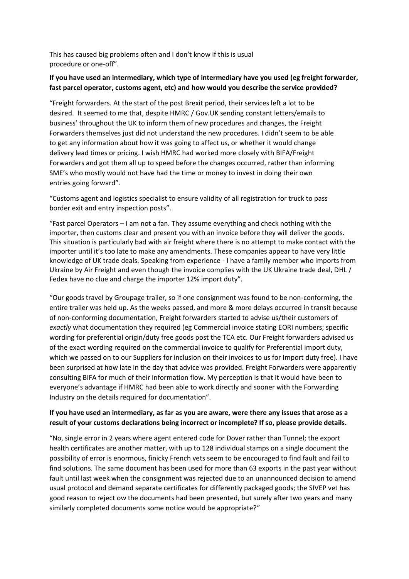This has caused big problems often and I don't know if this is usual procedure or one-off".

# **If you have used an intermediary, which type of intermediary have you used (eg freight forwarder, fast parcel operator, customs agent, etc) and how would you describe the service provided?**

"Freight forwarders. At the start of the post Brexit period, their services left a lot to be desired. It seemed to me that, despite HMRC / Gov.UK sending constant letters/emails to business' throughout the UK to inform them of new procedures and changes, the Freight Forwarders themselves just did not understand the new procedures. I didn't seem to be able to get any information about how it was going to affect us, or whether it would change delivery lead times or pricing. I wish HMRC had worked more closely with BIFA/Freight Forwarders and got them all up to speed before the changes occurred, rather than informing SME's who mostly would not have had the time or money to invest in doing their own entries going forward".

"Customs agent and logistics specialist to ensure validity of all registration for truck to pass border exit and entry inspection posts".

"Fast parcel Operators  $-1$  am not a fan. They assume everything and check nothing with the importer, then customs clear and present you with an invoice before they will deliver the goods. This situation is particularly bad with air freight where there is no attempt to make contact with the importer until it's too late to make any amendments. These companies appear to have very little knowledge of UK trade deals. Speaking from experience - I have a family member who imports from Ukraine by Air Freight and even though the invoice complies with the UK Ukraine trade deal, DHL / Fedex have no clue and charge the importer 12% import duty".

"Our goods travel by Groupage trailer, so if one consignment was found to be non-conforming, the entire trailer was held up. As the weeks passed, and more & more delays occurred in transit because of non-conforming documentation, Freight forwarders started to advise us/their customers of *exactly* what documentation they required (eg Commercial invoice stating EORI numbers; specific wording for preferential origin/duty free goods post the TCA etc. Our Freight forwarders advised us of the exact wording required on the commercial invoice to qualify for Preferential import duty, which we passed on to our Suppliers for inclusion on their invoices to us for Import duty free). I have been surprised at how late in the day that advice was provided. Freight Forwarders were apparently consulting BIFA for much of their information flow. My perception is that it would have been to everyone's advantage if HMRC had been able to work directly and sooner with the Forwarding Industry on the details required for documentation".

## **If you have used an intermediary, as far as you are aware, were there any issues that arose as a result of your customs declarations being incorrect or incomplete? If so, please provide details.**

"No, single error in 2 years where agent entered code for Dover rather than Tunnel; the export health certificates are another matter, with up to 128 individual stamps on a single document the possibility of error is enormous, finicky French vets seem to be encouraged to find fault and fail to find solutions. The same document has been used for more than 63 exports in the past year without fault until last week when the consignment was rejected due to an unannounced decision to amend usual protocol and demand separate certificates for differently packaged goods; the SIVEP vet has good reason to reject ow the documents had been presented, but surely after two years and many similarly completed documents some notice would be appropriate?"